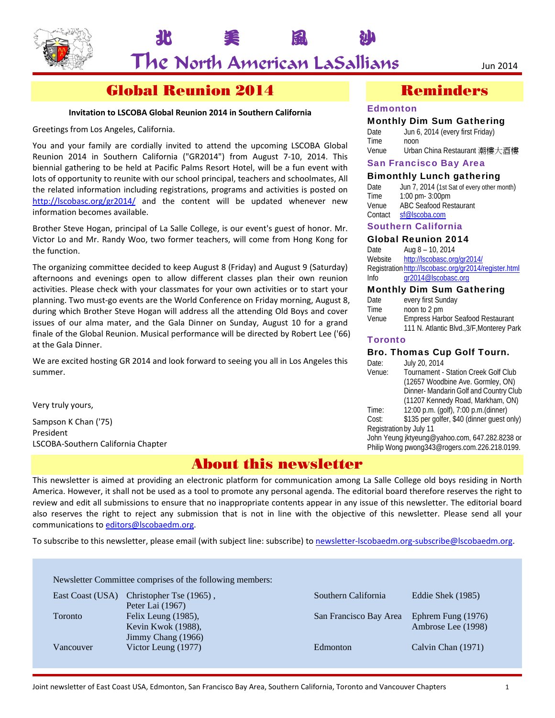

北 美 風 沙

## Global Reunion 2014

### **Invitation to LSCOBA Global Reunion 2014 in Southern California**

Greetings from Los Angeles, California.

You and your family are cordially invited to attend the upcoming LSCOBA Global Reunion 2014 in Southern California ("GR2014") from August 7‐10, 2014. This biennial gathering to be held at Pacific Palms Resort Hotel, will be a fun event with lots of opportunity to reunite with our school principal, teachers and schoolmates, All the related information including registrations, programs and activities is posted on http://lscobasc.org/gr2014/ and the content will be updated whenever new information becomes available.

Brother Steve Hogan, principal of La Salle College, is our event's guest of honor. Mr. Victor Lo and Mr. Randy Woo, two former teachers, will come from Hong Kong for the function.

The organizing committee decided to keep August 8 (Friday) and August 9 (Saturday) afternoons and evenings open to allow different classes plan their own reunion activities. Please check with your classmates for your own activities or to start your planning. Two must‐go events are the World Conference on Friday morning, August 8, during which Brother Steve Hogan will address all the attending Old Boys and cover issues of our alma mater, and the Gala Dinner on Sunday, August 10 for a grand finale of the Global Reunion. Musical performance will be directed by Robert Lee ('66) at the Gala Dinner.

We are excited hosting GR 2014 and look forward to seeing you all in Los Angeles this summer.

Very truly yours,

Sampson K Chan ('75) President LSCOBA‐Southern California Chapter

## About this newsletter

## This newsletter is aimed at providing an electronic platform for communication among La Salle College old boys residing in North America. However, it shall not be used as a tool to promote any personal agenda. The editorial board therefore reserves the right to review and edit all submissions to ensure that no inappropriate contents appear in any issue of this newsletter. The editorial board also reserves the right to reject any submission that is not in line with the objective of this newsletter. Please send all your communications to editors@lscobaedm.org.

To subscribe to this newsletter, please email (with subject line: subscribe) to newsletter‐lscobaedm.org‐subscribe@lscobaedm.org.

| Newsletter Committee comprises of the following members: |                                                                 |                                           |                    |  |
|----------------------------------------------------------|-----------------------------------------------------------------|-------------------------------------------|--------------------|--|
|                                                          | East Coast (USA) Christopher Tse (1965),<br>Peter Lai (1967)    | Southern California                       | Eddie Shek (1985)  |  |
| Toronto                                                  | Felix Leung (1985),<br>Kevin Kwok (1988),<br>Jimmy Chang (1966) | San Francisco Bay Area Ephrem Fung (1976) | Ambrose Lee (1998) |  |
| Vancouver                                                | Victor Leung (1977)                                             | Edmonton                                  | Calvin Chan (1971) |  |

## Reminders

## **Edmonton**

### Monthly Dim Sum Gathering

| Date  | Jun 6, 2014 (every first Friday) |
|-------|----------------------------------|
| Time  | noon                             |
| Venue | Urban China Restaurant 潮樓大酒樓     |

## San Francisco Bay Area

## Bimonthly Lunch gathering

| Jun 7, 2014 (1st Sat of every other month) |
|--------------------------------------------|
| $1:00$ pm- $3:00$ pm                       |
| <b>ABC Seafood Restaurant</b>              |
| sf@lscoba.com                              |
|                                            |

### Southern California

## Global Reunion 2014

| Date    | Aug 8 - 10, 2014                                      |
|---------|-------------------------------------------------------|
| Website | http://lscobasc.org/gr2014/                           |
|         | Registration http://lscobasc.org/gr2014/register.html |
| Info    | gr2014@Iscobasc.org                                   |

### Monthly Dim Sum Gathering

| Date  | every first Sunday                        |
|-------|-------------------------------------------|
| Time  | noon to 2 pm                              |
| Venue | <b>Empress Harbor Seafood Restaurant</b>  |
|       | 111 N. Atlantic Blvd., 3/F, Monterey Park |

### **Toronto**

## Bro. Thomas Cup Golf Tourn.

| Date:                   | July 20, 2014                                  |
|-------------------------|------------------------------------------------|
| Venue:                  | Tournament - Station Creek Golf Club           |
|                         | (12657 Woodbine Ave. Gormley, ON)              |
|                         | Dinner-Mandarin Golf and Country Club          |
|                         | (11207 Kennedy Road, Markham, ON)              |
| Time:                   | 12:00 p.m. (golf), 7:00 p.m.(dinner)           |
| Cost:                   | \$135 per golfer, \$40 (dinner guest only)     |
| Registration by July 11 |                                                |
|                         | John Yeung jktyeung@yahoo.com, 647.282.8238 or |

Philip Wong pwong343@rogers.com.226.218.0199.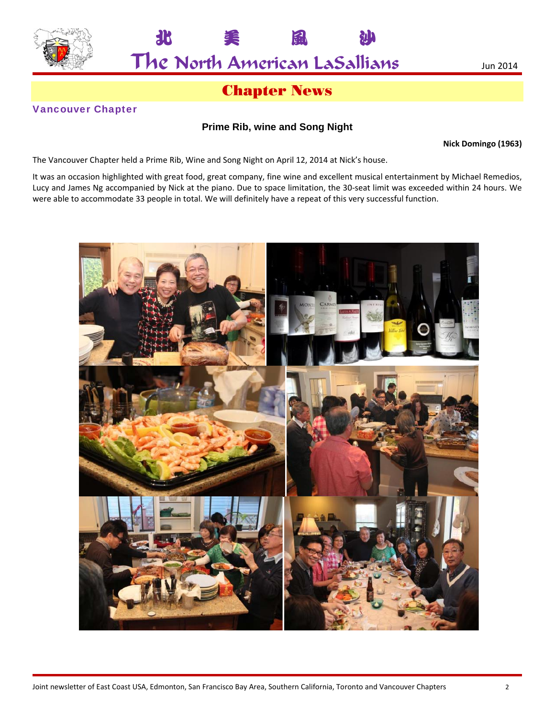

北 美 風 沙

# Chapter News

## Vancouver Chapter

## **Prime Rib, wine and Song Night**

**Nick Domingo (1963)**

The Vancouver Chapter held a Prime Rib, Wine and Song Night on April 12, 2014 at Nick's house.

It was an occasion highlighted with great food, great company, fine wine and excellent musical entertainment by Michael Remedios, Lucy and James Ng accompanied by Nick at the piano. Due to space limitation, the 30‐seat limit was exceeded within 24 hours. We were able to accommodate 33 people in total. We will definitely have a repeat of this very successful function.

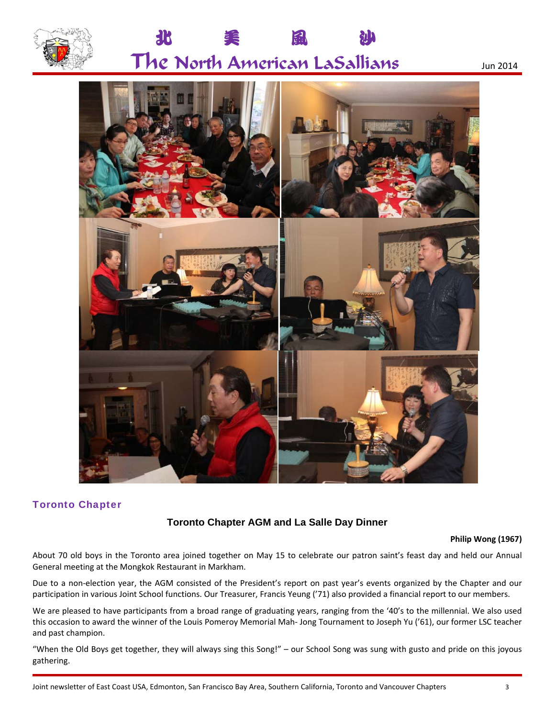

北 美 風 沙



## Toronto Chapter

## **Toronto Chapter AGM and La Salle Day Dinner**

### **Philip Wong (1967)**

About 70 old boys in the Toronto area joined together on May 15 to celebrate our patron saint's feast day and held our Annual General meeting at the Mongkok Restaurant in Markham.

Due to a non‐election year, the AGM consisted of the President's report on past year's events organized by the Chapter and our participation in various Joint School functions. Our Treasurer, Francis Yeung ('71) also provided a financial report to our members.

We are pleased to have participants from a broad range of graduating years, ranging from the '40's to the millennial. We also used this occasion to award the winner of the Louis Pomeroy Memorial Mah-Jong Tournament to Joseph Yu ('61), our former LSC teacher and past champion.

"When the Old Boys get together, they will always sing this Song!" – our School Song was sung with gusto and pride on this joyous gathering.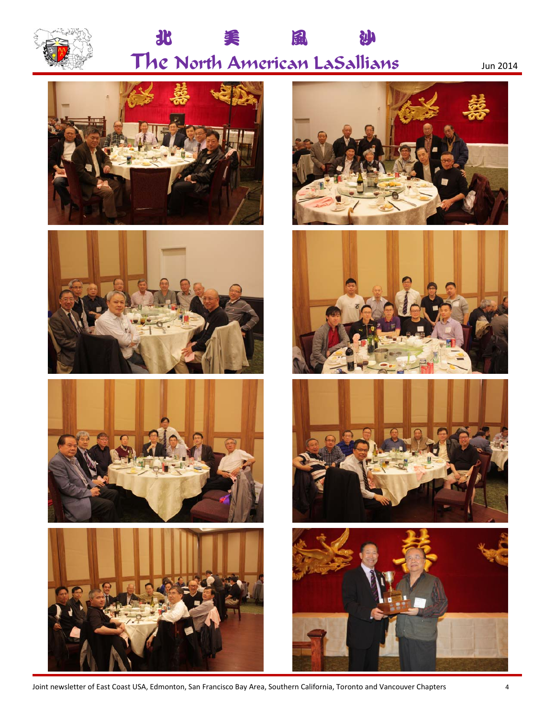















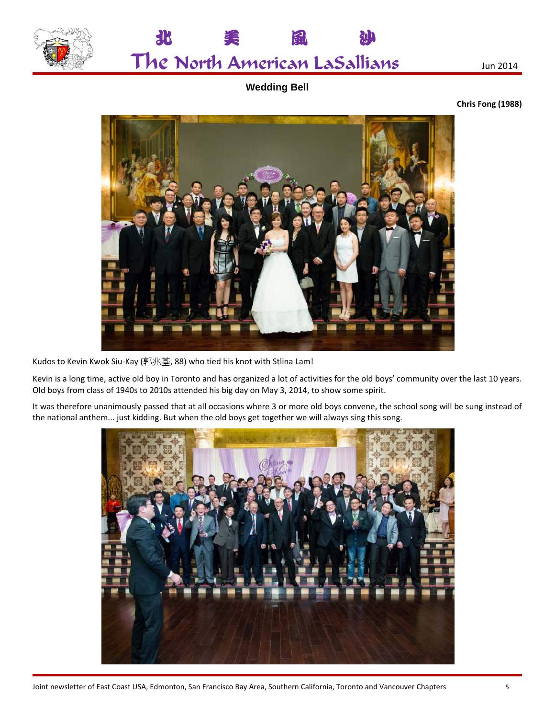

## **Wedding Bell**

**Chris Fong (1988)**



Kudos to Kevin Kwok Siu-Kay (郭兆基, 88) who tied his knot with Stlina Lam!

Kevin is a long time, active old boy in Toronto and has organized a lot of activities for the old boys' community over the last 10 years. Old boys from class of 1940s to 2010s attended his big day on May 3, 2014, to show some spirit.

It was therefore unanimously passed that at all occasions where 3 or more old boys convene, the school song will be sung instead of the national anthem... just kidding. But when the old boys get together we will always sing this song.

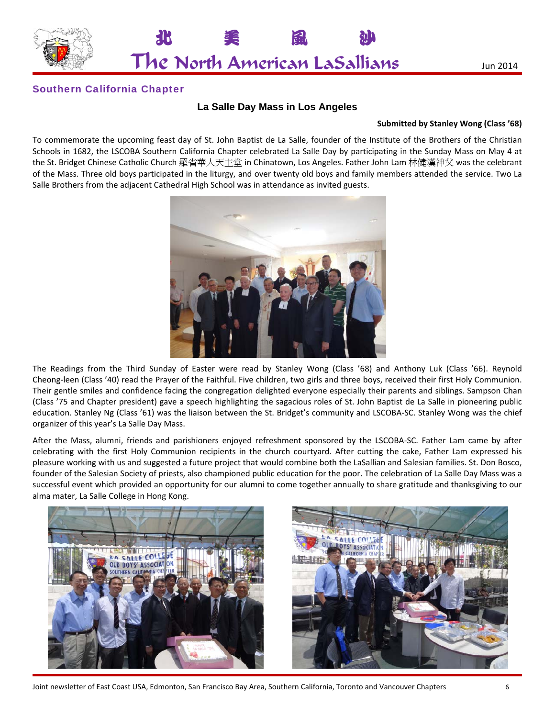

北 美 風 沙

## Southern California Chapter

## **La Salle Day Mass in Los Angeles**

#### **Submitted by Stanley Wong (Class '68)**

To commemorate the upcoming feast day of St. John Baptist de La Salle, founder of the Institute of the Brothers of the Christian Schools in 1682, the LSCOBA Southern California Chapter celebrated La Salle Day by participating in the Sunday Mass on May 4 at the St. Bridget Chinese Catholic Church 羅省華人天主堂 in Chinatown, Los Angeles. Father John Lam 林健漢神父 was the celebrant of the Mass. Three old boys participated in the liturgy, and over twenty old boys and family members attended the service. Two La Salle Brothers from the adjacent Cathedral High School was in attendance as invited guests.



The Readings from the Third Sunday of Easter were read by Stanley Wong (Class '68) and Anthony Luk (Class '66). Reynold Cheong‐leen (Class '40) read the Prayer of the Faithful. Five children, two girls and three boys, received their first Holy Communion. Their gentle smiles and confidence facing the congregation delighted everyone especially their parents and siblings. Sampson Chan (Class '75 and Chapter president) gave a speech highlighting the sagacious roles of St. John Baptist de La Salle in pioneering public education. Stanley Ng (Class '61) was the liaison between the St. Bridget's community and LSCOBA‐SC. Stanley Wong was the chief organizer of this year's La Salle Day Mass.

After the Mass, alumni, friends and parishioners enjoyed refreshment sponsored by the LSCOBA‐SC. Father Lam came by after celebrating with the first Holy Communion recipients in the church courtyard. After cutting the cake, Father Lam expressed his pleasure working with us and suggested a future project that would combine both the LaSallian and Salesian families. St. Don Bosco, founder of the Salesian Society of priests, also championed public education for the poor. The celebration of La Salle Day Mass was a successful event which provided an opportunity for our alumni to come together annually to share gratitude and thanksgiving to our alma mater, La Salle College in Hong Kong.



Joint newsletter of East Coast USA, Edmonton, San Francisco Bay Area, Southern California, Toronto and Vancouver Chapters 6